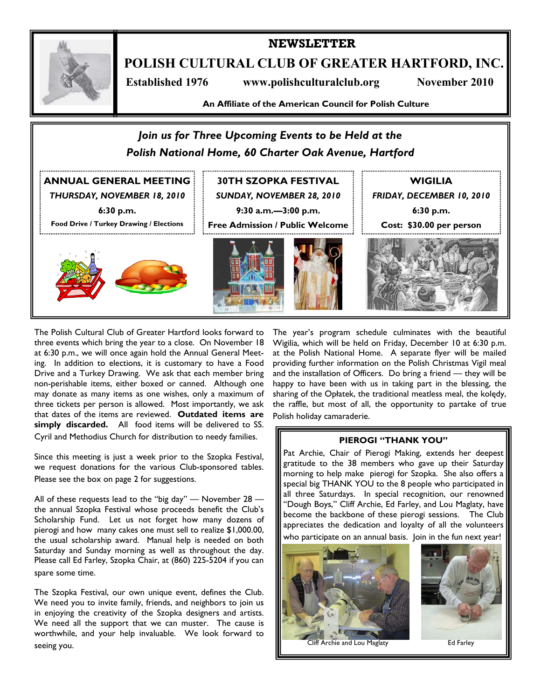

**NEWSLETTER** 

**POLISH CULTURAL CLUB OF GREATER HARTFORD, INC.** 

 **Established 1976 www.polishculturalclub.org November 2010** 

**An Affiliate of the American Council for Polish Culture** 



The Polish Cultural Club of Greater Hartford looks forward to three events which bring the year to a close. On November 18 at 6:30 p.m., we will once again hold the Annual General Meeting. In addition to elections, it is customary to have a Food Drive and a Turkey Drawing. We ask that each member bring non-perishable items, either boxed or canned. Although one may donate as many items as one wishes, only a maximum of three tickets per person is allowed. Most importantly, we ask that dates of the items are reviewed. **Outdated items are simply discarded.** All food items will be delivered to SS. Cyril and Methodius Church for distribution to needy families.

Since this meeting is just a week prior to the Szopka Festival, we request donations for the various Club-sponsored tables. Please see the box on page 2 for suggestions.

All of these requests lead to the "big day"  $-$  November 28  $$ the annual Szopka Festival whose proceeds benefit the Club's Scholarship Fund. Let us not forget how many dozens of pierogi and how many cakes one must sell to realize \$1,000.00, the usual scholarship award. Manual help is needed on both Saturday and Sunday morning as well as throughout the day. Please call Ed Farley, Szopka Chair, at (860) 225-5204 if you can spare some time.

The Szopka Festival, our own unique event, defines the Club. We need you to invite family, friends, and neighbors to join us in enjoying the creativity of the Szopka designers and artists. We need all the support that we can muster. The cause is worthwhile, and your help invaluable. We look forward to seeing you.

The year's program schedule culminates with the beautiful Wigilia, which will be held on Friday, December 10 at 6:30 p.m. at the Polish National Home. A separate flyer will be mailed providing further information on the Polish Christmas Vigil meal and the installation of Officers. Do bring a friend — they will be happy to have been with us in taking part in the blessing, the sharing of the Opłatek, the traditional meatless meal, the kolędy, the raffle, but most of all, the opportunity to partake of true Polish holiday camaraderie.

## **PIEROGI "THANK YOU"**

Pat Archie, Chair of Pierogi Making, extends her deepest gratitude to the 38 members who gave up their Saturday morning to help make pierogi for Szopka. She also offers a special big THANK YOU to the 8 people who participated in all three Saturdays. In special recognition, our renowned "Dough Boys," Cliff Archie, Ed Farley, and Lou Maglaty, have become the backbone of these pierogi sessions. The Club appreciates the dedication and loyalty of all the volunteers who participate on an annual basis. Join in the fun next year!



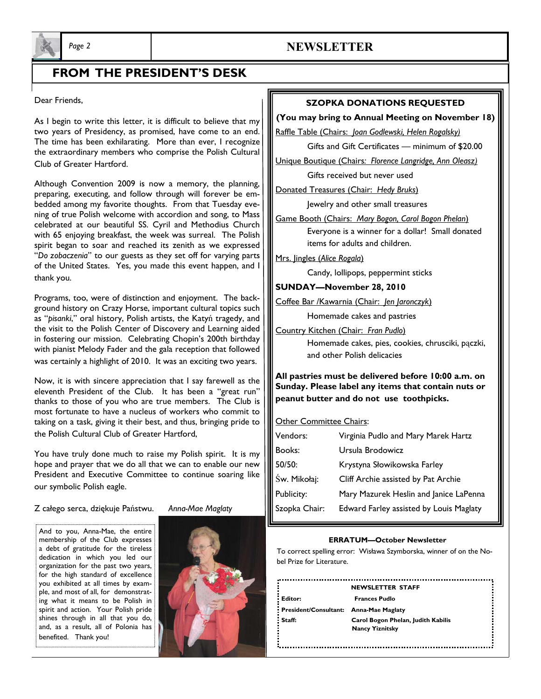

# *Page 2* **NEWSLETTER**

# **FROM THE PRESIDENT'S DESK**

Dear Friends,

As I begin to write this letter, it is difficult to believe that my two years of Presidency, as promised, have come to an end. The time has been exhilarating. More than ever, I recognize the extraordinary members who comprise the Polish Cultural Club of Greater Hartford.

Although Convention 2009 is now a memory, the planning, preparing, executing, and follow through will forever be embedded among my favorite thoughts. From that Tuesday evening of true Polish welcome with accordion and song, to Mass celebrated at our beautiful SS. Cyril and Methodius Church with 65 enjoying breakfast, the week was surreal. The Polish spirit began to soar and reached its zenith as we expressed "*Do zobaczenia*" to our guests as they set off for varying parts of the United States. Yes, you made this event happen, and I thank you.

Programs, too, were of distinction and enjoyment. The background history on Crazy Horse, important cultural topics such as "*pisanki*," oral history, Polish artists, the Katyń tragedy, and the visit to the Polish Center of Discovery and Learning aided in fostering our mission. Celebrating Chopin's 200th birthday with pianist Melody Fader and the gala reception that followed was certainly a highlight of 2010. It was an exciting two years.

Now, it is with sincere appreciation that I say farewell as the eleventh President of the Club. It has been a "great run" thanks to those of you who are true members. The Club is most fortunate to have a nucleus of workers who commit to taking on a task, giving it their best, and thus, bringing pride to the Polish Cultural Club of Greater Hartford,

You have truly done much to raise my Polish spirit. It is my hope and prayer that we do all that we can to enable our new President and Executive Committee to continue soaring like our symbolic Polish eagle.

Z całego serca, dziękuje Państwu. *Anna-Mae Maglaty*

And to you, Anna-Mae, the entire membership of the Club expresses a debt of gratitude for the tireless dedication in which you led our organization for the past two years, for the high standard of excellence you exhibited at all times by example, and most of all, for demonstrating what it means to be Polish in spirit and action. Your Polish pride shines through in all that you do, and, as a result, all of Polonia has benefited. Thank you!



## **SZOPKA DONATIONS REQUESTED**

#### **(You may bring to Annual Meeting on November 18)**

Raffle Table (Chairs: *Joan Godlewski, Helen Rogalsky)*

Gifts and Gift Certificates — minimum of \$20.00

Unique Boutique (Chairs*: Florence Langridge, Ann Oleasz)*

Gifts received but never used

Donated Treasures (Chair: *Hedy Bruks*)

Jewelry and other small treasures

Game Booth (Chairs: *Mary Bogon, Carol Bogon Phelan*) Everyone is a winner for a dollar! Small donated items for adults and children.

Mrs. Jingles (*Alice Rogala*)

Candy, lollipops, peppermint sticks

**SUNDAY—November 28, 2010** 

Coffee Bar /Kawarnia (Chair: *Jen Jaronczyk*)

Homemade cakes and pastries

Country Kitchen (Chair: *Fran Pudlo*)

 Homemade cakes, pies, cookies, chrusciki, pączki, and other Polish delicacies

**All pastries must be delivered before 10:00 a.m. on Sunday. Please label any items that contain nuts or peanut butter and do not use toothpicks.** 

## Other Committee Chairs:

| Vendors:      | Virginia Pudlo and Mary Marek Hartz     |
|---------------|-----------------------------------------|
| Books:        | Ursula Brodowicz                        |
| 50/50:        | Krystyna Słowikowska Farley             |
| Św. Mikołaj:  | Cliff Archie assisted by Pat Archie     |
| Publicity:    | Mary Mazurek Heslin and Janice LaPenna  |
| Szopka Chair: | Edward Farley assisted by Louis Maglaty |

#### **ERRATUM—October Newsletter**

To correct spelling error: Wisława Szymborska, winner of on the Nobel Prize for Literature.

**NEWSLETTER STAFF Editor: Frances Pudlo President/Consultant: Anna-Mae Maglaty Staff: Carol Bogon Phelan, Judith Kabilis** 

 **Nancy Yiznitsky**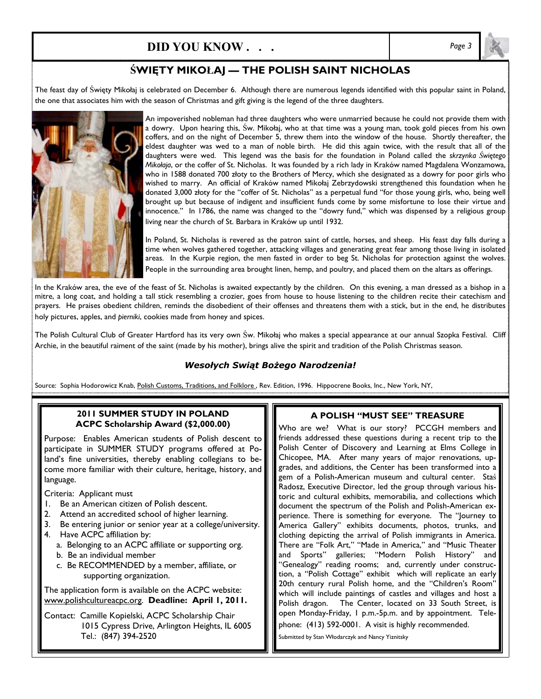# **DID YOU KNOW . . .** *Page 3*

# $\hat{\textbf{S}}$ WIĘTY MIKOŁAJ — THE POLISH SAINT NICHOLAS

The feast day of Święty Mikołaj is celebrated on December 6. Although there are numerous legends identified with this popular saint in Poland, the one that associates him with the season of Christmas and gift giving is the legend of the three daughters.



An impoverished nobleman had three daughters who were unmarried because he could not provide them with a dowry. Upon hearing this, Św. Mikołaj, who at that time was a young man, took gold pieces from his own coffers, and on the night of December 5, threw them into the window of the house. Shortly thereafter, the eldest daughter was wed to a man of noble birth. He did this again twice, with the result that all of the daughters were wed. This legend was the basis for the foundation in Poland called the *skrzynka Świętego Mikołaja*, or the coffer of St. Nicholas. It was founded by a rich lady in Kraków named Magdalena Wonzamowa, who in 1588 donated 700 złoty to the Brothers of Mercy, which she designated as a dowry for poor girls who wished to marry. An official of Kraków named Mikołaj Zebrzydowski strengthened this foundation when he donated 3,000 złoty for the "coffer of St. Nicholas" as a perpetual fund "for those young girls, who, being well brought up but because of indigent and insufficient funds come by some misfortune to lose their virtue and innocence." In 1786, the name was changed to the "dowry fund," which was dispensed by a religious group living near the church of St. Barbara in Kraków up until 1932.

In Poland, St. Nicholas is revered as the patron saint of cattle, horses, and sheep. His feast day falls during a time when wolves gathered together, attacking villages and generating great fear among those living in isolated areas. In the Kurpie region, the men fasted in order to beg St. Nicholas for protection against the wolves. People in the surrounding area brought linen, hemp, and poultry, and placed them on the altars as offerings.

In the Kraków area, the eve of the feast of St. Nicholas is awaited expectantly by the children. On this evening, a man dressed as a bishop in a mitre, a long coat, and holding a tall stick resembling a crozier, goes from house to house listening to the children recite their catechism and prayers. He praises obedient children, reminds the disobedient of their offenses and threatens them with a stick, but in the end, he distributes holy pictures, apples, and *pierniki*, cookies made from honey and spices.

The Polish Cultural Club of Greater Hartford has its very own Św. Mikołaj who makes a special appearance at our annual Szopka Festival. Cliff Archie, in the beautiful raiment of the saint (made by his mother), brings alive the spirit and tradition of the Polish Christmas season.

## *Wesołych Swiąt Bożego Narodzenia!*

Source: Sophia Hodorowicz Knab, Polish Customs, Traditions, and Folklore, Rev. Edition, 1996. Hippocrene Books, Inc., New York, NY,

### **2011 SUMMER STUDY IN POLAND ACPC Scholarship Award (\$2,000.00)**

Purpose: Enables American students of Polish descent to participate in SUMMER STUDY programs offered at Poland's fine universities, thereby enabling collegians to become more familiar with their culture, heritage, history, and language.

Criteria: Applicant must

- 1. Be an American citizen of Polish descent.
- 2. Attend an accredited school of higher learning.
- 3. Be entering junior or senior year at a college/university.
- 4. Have ACPC affiliation by:
	- a. Belonging to an ACPC affiliate or supporting org.
	- b. Be an individual member
	- c. Be RECOMMENDED by a member, affiliate, or supporting organization.

The application form is available on the ACPC website: www.polishcultureacpc.org. **Deadline: April 1, 2011.**

Contact: Camille Kopielski, ACPC Scholarship Chair 1015 Cypress Drive, Arlington Heights, IL 6005 Tel.: (847) 394-2520

## **A POLISH "MUST SEE" TREASURE**

Who are we? What is our story? PCCGH members and friends addressed these questions during a recent trip to the Polish Center of Discovery and Learning at Elms College in Chicopee, MA. After many years of major renovations, upgrades, and additions, the Center has been transformed into a gem of a Polish-American museum and cultural center. Staś Radosz, Executive Director, led the group through various historic and cultural exhibits, memorabilia, and collections which document the spectrum of the Polish and Polish-American experience. There is something for everyone. The "Journey to America Gallery" exhibits documents, photos, trunks, and clothing depicting the arrival of Polish immigrants in America. There are "Folk Art," "Made in America," and "Music Theater and Sports" galleries; "Modern Polish History" and "Genealogy" reading rooms; and, currently under construction, a "Polish Cottage" exhibit which will replicate an early 20th century rural Polish home, and the "Children's Room" which will include paintings of castles and villages and host a Polish dragon. The Center, located on 33 South Street, is open Monday-Friday, 1 p.m.-5p.m. and by appointment. Telephone: (413) 592-0001. A visit is highly recommended.

Submitted by Stan Włodarczyk and Nancy Yiznitsky